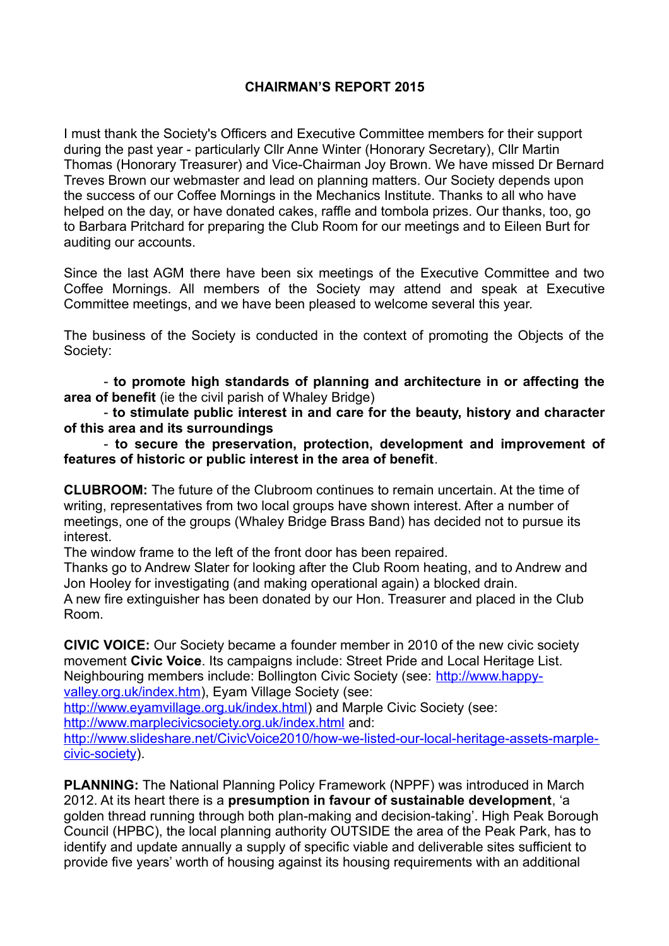# **CHAIRMAN'S REPORT 2015**

I must thank the Society's Officers and Executive Committee members for their support during the past year - particularly Cllr Anne Winter (Honorary Secretary), Cllr Martin Thomas (Honorary Treasurer) and Vice-Chairman Joy Brown. We have missed Dr Bernard Treves Brown our webmaster and lead on planning matters. Our Society depends upon the success of our Coffee Mornings in the Mechanics Institute. Thanks to all who have helped on the day, or have donated cakes, raffle and tombola prizes. Our thanks, too, go to Barbara Pritchard for preparing the Club Room for our meetings and to Eileen Burt for auditing our accounts.

Since the last AGM there have been six meetings of the Executive Committee and two Coffee Mornings. All members of the Society may attend and speak at Executive Committee meetings, and we have been pleased to welcome several this year.

The business of the Society is conducted in the context of promoting the Objects of the Society:

- **to promote high standards of planning and architecture in or affecting the area of benefit** (ie the civil parish of Whaley Bridge)

- **to stimulate public interest in and care for the beauty, history and character of this area and its surroundings**

- **to secure the preservation, protection, development and improvement of features of historic or public interest in the area of benefit**.

**CLUBROOM:** The future of the Clubroom continues to remain uncertain. At the time of writing, representatives from two local groups have shown interest. After a number of meetings, one of the groups (Whaley Bridge Brass Band) has decided not to pursue its interest.

The window frame to the left of the front door has been repaired.

Thanks go to Andrew Slater for looking after the Club Room heating, and to Andrew and Jon Hooley for investigating (and making operational again) a blocked drain.

A new fire extinguisher has been donated by our Hon. Treasurer and placed in the Club Room.

**CIVIC VOICE:** Our Society became a founder member in 2010 of the new civic society movement **Civic Voice**. Its campaigns include: Street Pride and Local Heritage List. Neighbouring members include: Bollington Civic Society (see: [http://www.happy](http://www.happy-valley.org.uk/index.htm)[valley.org.uk/index.htm\)](http://www.happy-valley.org.uk/index.htm), Eyam Village Society (see:

[http://www.eyamvillage.org.uk/index.html\)](http://www.eyamvillage.org.uk/index.html) and Marple Civic Society (see:

<http://www.marplecivicsociety.org.uk/index.html>and:

[http://www.slideshare.net/CivicVoice2010/how-we-listed-our-local-heritage-assets-marple](http://www.slideshare.net/CivicVoice2010/how-we-listed-our-local-heritage-assets-marple-civic-society)[civic-society\)](http://www.slideshare.net/CivicVoice2010/how-we-listed-our-local-heritage-assets-marple-civic-society).

**PLANNING:** The National Planning Policy Framework (NPPF) was introduced in March 2012. At its heart there is a **presumption in favour of sustainable development**, 'a golden thread running through both plan-making and decision-taking'. High Peak Borough Council (HPBC), the local planning authority OUTSIDE the area of the Peak Park, has to identify and update annually a supply of specific viable and deliverable sites sufficient to provide five years' worth of housing against its housing requirements with an additional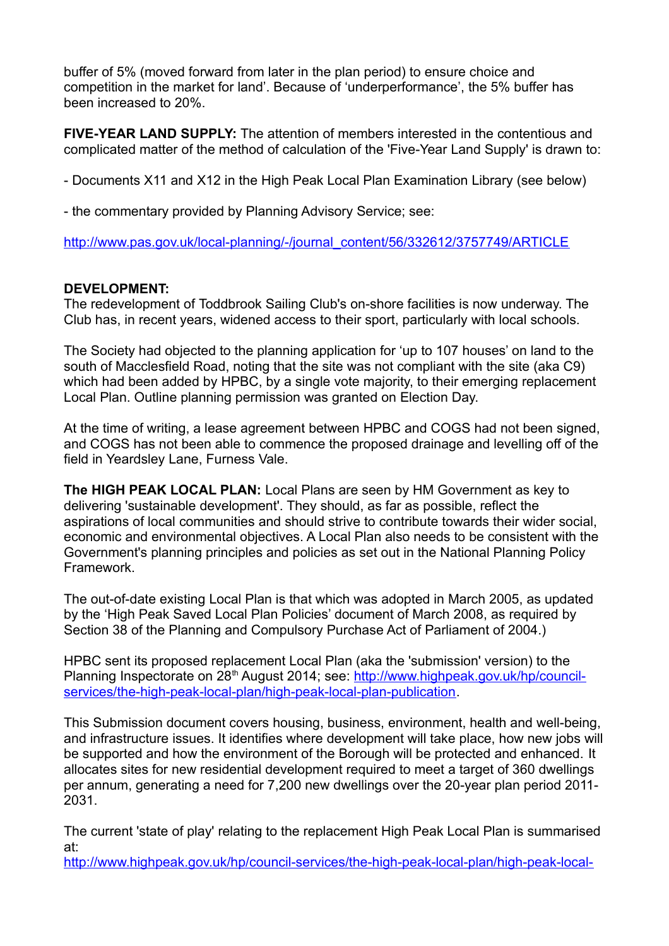buffer of 5% (moved forward from later in the plan period) to ensure choice and competition in the market for land'. Because of 'underperformance', the 5% buffer has been increased to 20%.

**FIVE-YEAR LAND SUPPLY:** The attention of members interested in the contentious and complicated matter of the method of calculation of the 'Five-Year Land Supply' is drawn to:

- Documents X11 and X12 in the High Peak Local Plan Examination Library (see below)

- the commentary provided by Planning Advisory Service; see:

[http://www.pas.gov.uk/local-planning/-/journal\\_content/56/332612/3757749/ARTICLE](http://www.pas.gov.uk/local-planning/-/journal_content/56/332612/3757749/ARTICLE)

# **DEVELOPMENT:**

The redevelopment of Toddbrook Sailing Club's on-shore facilities is now underway. The Club has, in recent years, widened access to their sport, particularly with local schools.

The Society had objected to the planning application for 'up to 107 houses' on land to the south of Macclesfield Road, noting that the site was not compliant with the site (aka C9) which had been added by HPBC, by a single vote majority, to their emerging replacement Local Plan. Outline planning permission was granted on Election Day.

At the time of writing, a lease agreement between HPBC and COGS had not been signed, and COGS has not been able to commence the proposed drainage and levelling off of the field in Yeardsley Lane, Furness Vale.

**The HIGH PEAK LOCAL PLAN:** Local Plans are seen by HM Government as key to delivering 'sustainable development'. They should, as far as possible, reflect the aspirations of local communities and should strive to contribute towards their wider social, economic and environmental objectives. A Local Plan also needs to be consistent with the Government's planning principles and policies as set out in the National Planning Policy Framework.

The out-of-date existing Local Plan is that which was adopted in March 2005, as updated by the 'High Peak Saved Local Plan Policies' document of March 2008, as required by Section 38 of the Planning and Compulsory Purchase Act of Parliament of 2004.)

HPBC sent its proposed replacement Local Plan (aka the 'submission' version) to the Planning Inspectorate on 28<sup>th</sup> August 2014; see: [http://www.highpeak.gov.uk/hp/council](http://www.highpeak.gov.uk/hp/council-services/the-high-peak-local-plan/high-peak-local-plan-publication)[services/the-high-peak-local-plan/high-peak-local-plan-publication.](http://www.highpeak.gov.uk/hp/council-services/the-high-peak-local-plan/high-peak-local-plan-publication)

This Submission document covers housing, business, environment, health and well-being, and infrastructure issues. It identifies where development will take place, how new jobs will be supported and how the environment of the Borough will be protected and enhanced. It allocates sites for new residential development required to meet a target of 360 dwellings per annum, generating a need for 7,200 new dwellings over the 20-year plan period 2011- 2031.

The current 'state of play' relating to the replacement High Peak Local Plan is summarised at:

[http://www.highpeak.gov.uk/hp/council-services/the-high-peak-local-plan/high-peak-local-](http://www.highpeak.gov.uk/hp/council-services/the-high-peak-local-plan/high-peak-local-plan-examination)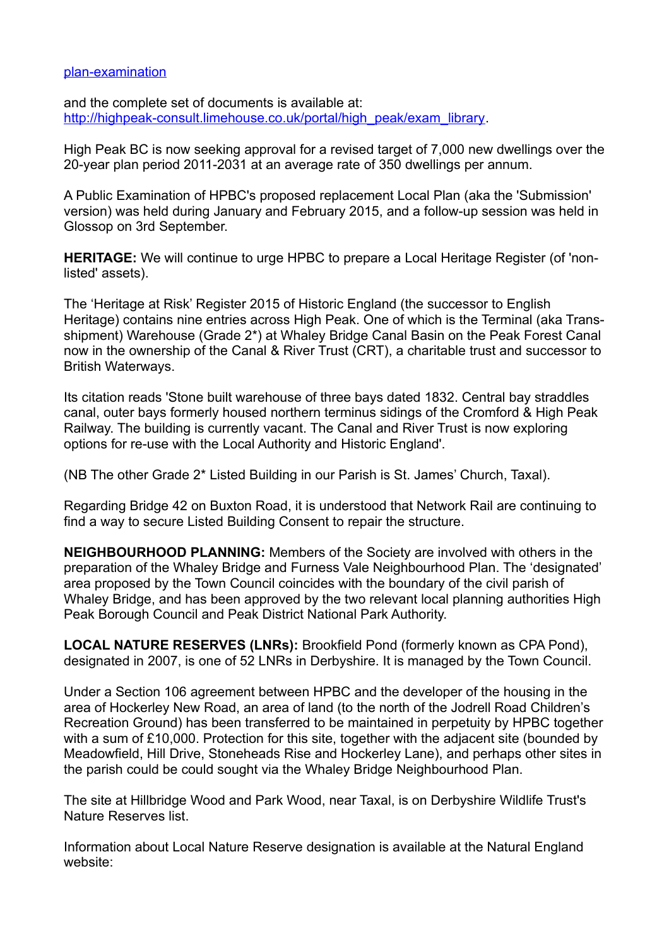#### [plan-examination](http://www.highpeak.gov.uk/hp/council-services/the-high-peak-local-plan/high-peak-local-plan-examination)

and the complete set of documents is available at: [http://highpeak-consult.limehouse.co.uk/portal/high\\_peak/exam\\_library.](http://highpeak-consult.limehouse.co.uk/portal/high_peak/exam_library)

High Peak BC is now seeking approval for a revised target of 7,000 new dwellings over the 20-year plan period 2011-2031 at an average rate of 350 dwellings per annum.

A Public Examination of HPBC's proposed replacement Local Plan (aka the 'Submission' version) was held during January and February 2015, and a follow-up session was held in Glossop on 3rd September.

**HERITAGE:** We will continue to urge HPBC to prepare a Local Heritage Register (of 'nonlisted' assets).

The 'Heritage at Risk' Register 2015 of Historic England (the successor to English Heritage) contains nine entries across High Peak. One of which is the Terminal (aka Transshipment) Warehouse (Grade 2\*) at Whaley Bridge Canal Basin on the Peak Forest Canal now in the ownership of the Canal & River Trust (CRT), a charitable trust and successor to British Waterways.

Its citation reads 'Stone built warehouse of three bays dated 1832. Central bay straddles canal, outer bays formerly housed northern terminus sidings of the Cromford & High Peak Railway. The building is currently vacant. The Canal and River Trust is now exploring options for re-use with the Local Authority and Historic England'.

(NB The other Grade 2\* Listed Building in our Parish is St. James' Church, Taxal).

Regarding Bridge 42 on Buxton Road, it is understood that Network Rail are continuing to find a way to secure Listed Building Consent to repair the structure.

**NEIGHBOURHOOD PLANNING:** Members of the Society are involved with others in the preparation of the Whaley Bridge and Furness Vale Neighbourhood Plan. The 'designated' area proposed by the Town Council coincides with the boundary of the civil parish of Whaley Bridge, and has been approved by the two relevant local planning authorities High Peak Borough Council and Peak District National Park Authority.

**LOCAL NATURE RESERVES (LNRs):** Brookfield Pond (formerly known as CPA Pond), designated in 2007, is one of 52 LNRs in Derbyshire. It is managed by the Town Council.

Under a Section 106 agreement between HPBC and the developer of the housing in the area of Hockerley New Road, an area of land (to the north of the Jodrell Road Children's Recreation Ground) has been transferred to be maintained in perpetuity by HPBC together with a sum of £10,000. Protection for this site, together with the adjacent site (bounded by Meadowfield, Hill Drive, Stoneheads Rise and Hockerley Lane), and perhaps other sites in the parish could be could sought via the Whaley Bridge Neighbourhood Plan.

The site at Hillbridge Wood and Park Wood, near Taxal, is on Derbyshire Wildlife Trust's Nature Reserves list.

Information about Local Nature Reserve designation is available at the Natural England website: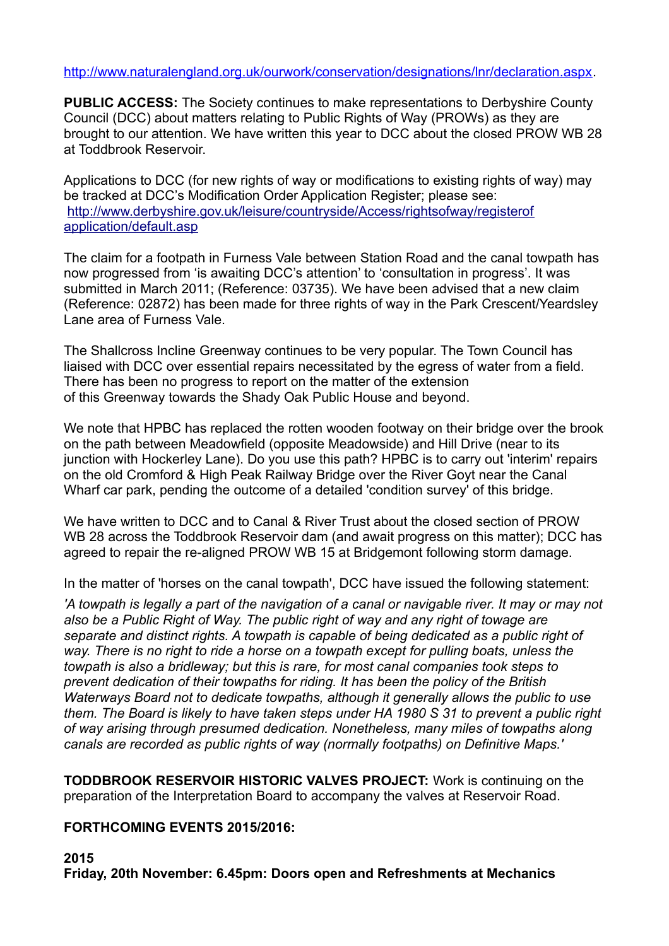### [http://www.naturalengland.org.uk/ourwork/conservation/designations/lnr/declaration.aspx.](http://www.naturalengland.org.uk/ourwork/conservation/designations/lnr/declaration.aspx)

**PUBLIC ACCESS:** The Society continues to make representations to Derbyshire County Council (DCC) about matters relating to Public Rights of Way (PROWs) as they are brought to our attention. We have written this year to DCC about the closed PROW WB 28 at Toddbrook Reservoir.

Applications to DCC (for new rights of way or modifications to existing rights of way) may be tracked at DCC's Modification Order Application Register; please see: [http://www.derbyshire.gov.uk/leisure/countryside/Access/rightsofway/registerof](http://www.derbyshire.gov.uk/leisure/countryside/Access/rightsofway/registerof%0Dapplication/default.asp) [application/default.asp](http://www.derbyshire.gov.uk/leisure/countryside/Access/rightsofway/registerof%0Dapplication/default.asp)

The claim for a footpath in Furness Vale between Station Road and the canal towpath has now progressed from 'is awaiting DCC's attention' to 'consultation in progress'. It was submitted in March 2011; (Reference: 03735). We have been advised that a new claim (Reference: 02872) has been made for three rights of way in the Park Crescent/Yeardsley Lane area of Furness Vale.

The Shallcross Incline Greenway continues to be very popular. The Town Council has liaised with DCC over essential repairs necessitated by the egress of water from a field. There has been no progress to report on the matter of the extension of this Greenway towards the Shady Oak Public House and beyond.

We note that HPBC has replaced the rotten wooden footway on their bridge over the brook on the path between Meadowfield (opposite Meadowside) and Hill Drive (near to its junction with Hockerley Lane). Do you use this path? HPBC is to carry out 'interim' repairs on the old Cromford & High Peak Railway Bridge over the River Goyt near the Canal Wharf car park, pending the outcome of a detailed 'condition survey' of this bridge.

We have written to DCC and to Canal & River Trust about the closed section of PROW WB 28 across the Toddbrook Reservoir dam (and await progress on this matter); DCC has agreed to repair the re-aligned PROW WB 15 at Bridgemont following storm damage.

In the matter of 'horses on the canal towpath', DCC have issued the following statement:

*'A towpath is legally a part of the navigation of a canal or navigable river. It may or may not also be a Public Right of Way. The public right of way and any right of towage are separate and distinct rights. A towpath is capable of being dedicated as a public right of*  way. There is no right to ride a horse on a towpath except for pulling boats, unless the *towpath is also a bridleway; but this is rare, for most canal companies took steps to prevent dedication of their towpaths for riding. It has been the policy of the British Waterways Board not to dedicate towpaths, although it generally allows the public to use them. The Board is likely to have taken steps under HA 1980 S 31 to prevent a public right of way arising through presumed dedication. Nonetheless, many miles of towpaths along canals are recorded as public rights of way (normally footpaths) on Definitive Maps.'*

**TODDBROOK RESERVOIR HISTORIC VALVES PROJECT:** Work is continuing on the preparation of the Interpretation Board to accompany the valves at Reservoir Road.

### **FORTHCOMING EVENTS 2015/2016:**

**2015**

**Friday, 20th November: 6.45pm: Doors open and Refreshments at Mechanics**